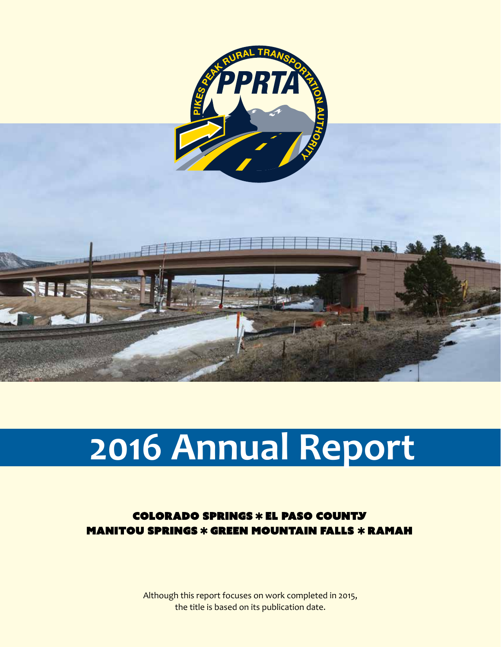

# **2016 Annual Report**

**COLORADO SPRINGS \* EL PASO COUNTY MANITOU SPRINGS \* GREEN MOUNTAIN FALLS \* RAMAH** 

> Although this report focuses on work completed in 2015, the title is based on its publication date.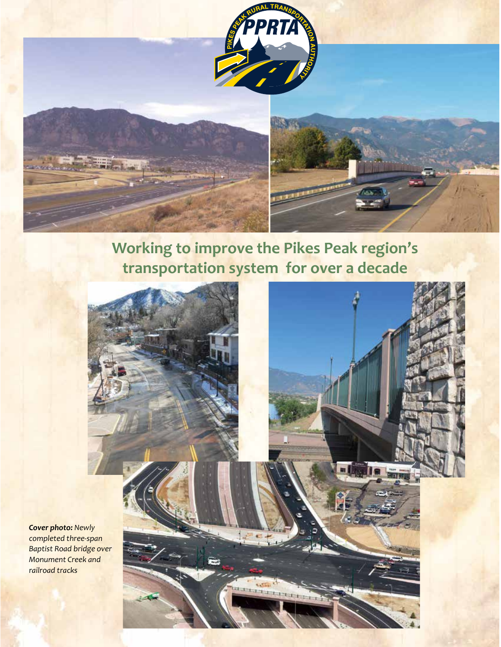

### **Working to improve the Pikes Peak region's transportation system for over a decade**



*Cover photo: Newly completed three-span Baptist Road bridge over Monument Creek and railroad tracks*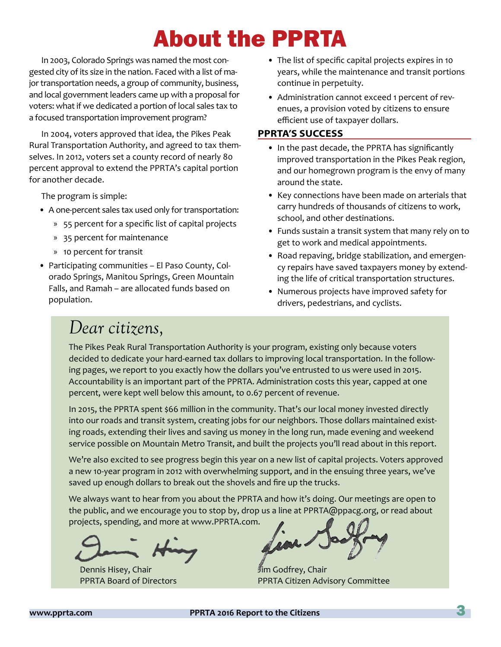# About the PPRTA

In 2003, Colorado Springs was named the most congested city of its size in the nation. Faced with a list of major transportation needs, a group of community, business, and local government leaders came up with a proposal for voters: what if we dedicated a portion of local sales tax to a focused transportation improvement program?

In 2004, voters approved that idea, the Pikes Peak Rural Transportation Authority, and agreed to tax themselves. In 2012, voters set a county record of nearly 80 percent approval to extend the PPRTA's capital portion for another decade.

The program is simple:

- A one-percent sales tax used only for transportation:
	- » 55 percent for a specific list of capital projects
	- » 35 percent for maintenance
	- » 10 percent for transit
- Participating communities El Paso County, Colorado Springs, Manitou Springs, Green Mountain Falls, and Ramah – are allocated funds based on population.
- The list of specific capital projects expires in 10 years, while the maintenance and transit portions continue in perpetuity.
- Administration cannot exceed 1 percent of revenues, a provision voted by citizens to ensure efficient use of taxpayer dollars.

### **PPRTA'S SUCCESS**

- In the past decade, the PPRTA has significantly improved transportation in the Pikes Peak region, and our homegrown program is the envy of many around the state.
- Key connections have been made on arterials that carry hundreds of thousands of citizens to work, school, and other destinations.
- Funds sustain a transit system that many rely on to get to work and medical appointments.
- Road repaving, bridge stabilization, and emergency repairs have saved taxpayers money by extending the life of critical transportation structures.
- Numerous projects have improved safety for drivers, pedestrians, and cyclists.

### *Dear citizens,*

The Pikes Peak Rural Transportation Authority is your program, existing only because voters decided to dedicate your hard-earned tax dollars to improving local transportation. In the following pages, we report to you exactly how the dollars you've entrusted to us were used in 2015. Accountability is an important part of the PPRTA. Administration costs this year, capped at one percent, were kept well below this amount, to 0.67 percent of revenue.

In 2015, the PPRTA spent \$66 million in the community. That's our local money invested directly into our roads and transit system, creating jobs for our neighbors. Those dollars maintained existing roads, extending their lives and saving us money in the long run, made evening and weekend service possible on Mountain Metro Transit, and built the projects you'll read about in this report.

We're also excited to see progress begin this year on a new list of capital projects. Voters approved a new 10-year program in 2012 with overwhelming support, and in the ensuing three years, we've saved up enough dollars to break out the shovels and fire up the trucks.

We always want to hear from you about the PPRTA and how it's doing. Our meetings are open to the public, and we encourage you to stop by, drop us a line at PPRTA@ppacg.org, or read about projects, spending, and more at www.PPRTA.com.

Dennis Hisey, Chair PPRTA Board of Directors

Jim Godfrey, Chair PPRTA Citizen Advisory Committee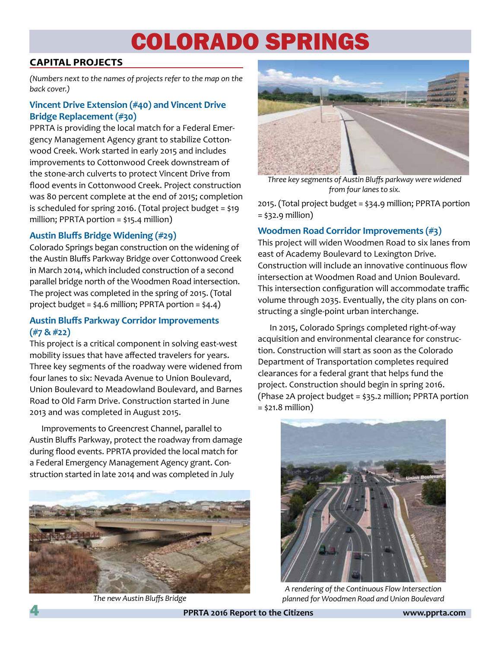# COLORADO SPRINGS

### **CAPITAL PROJECTS**

*(Numbers next to the names of projects refer to the map on the back cover.)* 

### **Vincent Drive Extension (#40) and Vincent Drive Bridge Replacement (#30)**

PPRTA is providing the local match for a Federal Emergency Management Agency grant to stabilize Cottonwood Creek. Work started in early 2015 and includes improvements to Cottonwood Creek downstream of the stone-arch culverts to protect Vincent Drive from flood events in Cottonwood Creek. Project construction was 80 percent complete at the end of 2015; completion is scheduled for spring 2016. (Total project budget = \$19 million; PPRTA portion = \$15.4 million)

### **Austin Bluffs Bridge Widening (#29)**

Colorado Springs began construction on the widening of the Austin Bluffs Parkway Bridge over Cottonwood Creek in March 2014, which included construction of a second parallel bridge north of the Woodmen Road intersection. The project was completed in the spring of 2015. (Total project budget = \$4.6 million; PPRTA portion = \$4.4)

### **Austin Bluffs Parkway Corridor Improvements (#7 & #22)**

This project is a critical component in solving east-west mobility issues that have affected travelers for years. Three key segments of the roadway were widened from four lanes to six: Nevada Avenue to Union Boulevard, Union Boulevard to Meadowland Boulevard, and Barnes Road to Old Farm Drive. Construction started in June 2013 and was completed in August 2015.

Improvements to Greencrest Channel, parallel to Austin Bluffs Parkway, protect the roadway from damage during flood events. PPRTA provided the local match for a Federal Emergency Management Agency grant. Construction started in late 2014 and was completed in July



*The new Austin Bluffs Bridge*



*Three key segments of Austin Bluffs parkway were widened from four lanes to six.*

2015. (Total project budget = \$34.9 million; PPRTA portion = \$32.9 million)

### **Woodmen Road Corridor Improvements (#3)**

This project will widen Woodmen Road to six lanes from east of Academy Boulevard to Lexington Drive. Construction will include an innovative continuous flow intersection at Woodmen Road and Union Boulevard. This intersection configuration will accommodate traffic volume through 2035. Eventually, the city plans on constructing a single-point urban interchange.

In 2015, Colorado Springs completed right-of-way acquisition and environmental clearance for construction. Construction will start as soon as the Colorado Department of Transportation completes required clearances for a federal grant that helps fund the project. Construction should begin in spring 2016. (Phase 2A project budget = \$35.2 million; PPRTA portion  $=$  \$21.8 million)



*A rendering of the Continuous Flow Intersection planned for Woodmen Road and Union Boulevard*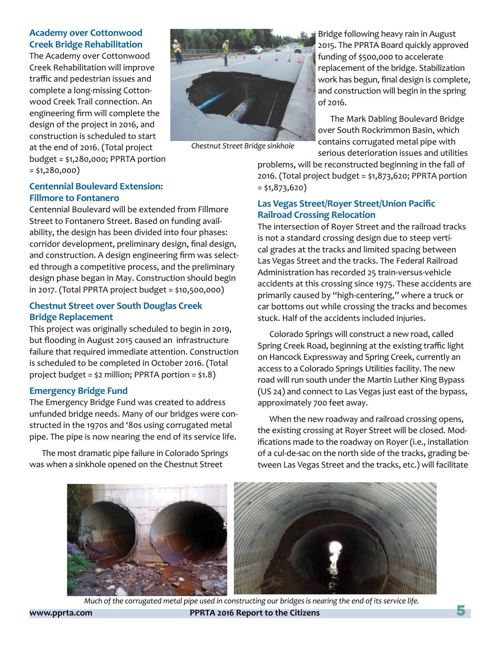### **Academy over Cottonwood Creek Bridge Rehabilitation**

The Academy over Cottonwood Creek Rehabilitation will improve traffic and pedestrian issues and complete a long-missing Cottonwood Creek Trail connection. An engineering firm will complete the design of the project in 2016, and construction is scheduled to start at the end of 2016. (Total project budget = \$1,280,000; PPRTA portion = \$1,280,000)



*Chestnut Street Bridge sinkhole*

Bridge following heavy rain in August 2015. The PPRTA Board quickly approved funding of \$500,000 to accelerate replacement of the bridge. Stabilization work has begun, final design is complete, and construction will begin in the spring of 2016.

The Mark Dabling Boulevard Bridge over South Rockrimmon Basin, which contains corrugated metal pipe with serious deterioration issues and utilities

problems, will be reconstructed beginning in the fall of 2016. (Total project budget = \$1,873,620; PPRTA portion  $=$  \$1,873,620)

### **Las Vegas Street/Royer Street/Union Pacific Railroad Crossing Relocation**

The intersection of Royer Street and the railroad tracks is not a standard crossing design due to steep vertical grades at the tracks and limited spacing between Las Vegas Street and the tracks. The Federal Railroad Administration has recorded 25 train-versus-vehicle accidents at this crossing since 1975. These accidents are primarily caused by "high-centering," where a truck or car bottoms out while crossing the tracks and becomes stuck. Half of the accidents included injuries.

Colorado Springs will construct a new road, called Spring Creek Road, beginning at the existing traffic light on Hancock Expressway and Spring Creek, currently an access to a Colorado Springs Utilities facility. The new road will run south under the Martin Luther King Bypass (US 24) and connect to Las Vegas just east of the bypass, approximately 700 feet away.

When the new roadway and railroad crossing opens, the existing crossing at Royer Street will be closed. Modifications made to the roadway on Royer (i.e., installation of a cul-de-sac on the north side of the tracks, grading between Las Vegas Street and the tracks, etc.) will facilitate



**www.pprta.com PPRTA 2016 Report to the Citizens** 5 *Much of the corrugated metal pipe used in constructing our bridges is nearing the end of its service life.*

### **Centennial Boulevard Extension: Fillmore to Fontanero**

Centennial Boulevard will be extended from Fillmore Street to Fontanero Street. Based on funding availability, the design has been divided into four phases: corridor development, preliminary design, final design, and construction. A design engineering firm was selected through a competitive process, and the preliminary design phase began in May. Construction should begin in 2017. (Total PPRTA project budget = \$10,500,000)

### **Chestnut Street over South Douglas Creek Bridge Replacement**

This project was originally scheduled to begin in 2019, but flooding in August 2015 caused an infrastructure failure that required immediate attention. Construction is scheduled to be completed in October 2016. (Total project budget = \$2 million; PPRTA portion = \$1.8)

### **Emergency Bridge Fund**

The Emergency Bridge Fund was created to address unfunded bridge needs. Many of our bridges were constructed in the 1970s and '80s using corrugated metal pipe. The pipe is now nearing the end of its service life.

The most dramatic pipe failure in Colorado Springs was when a sinkhole opened on the Chestnut Street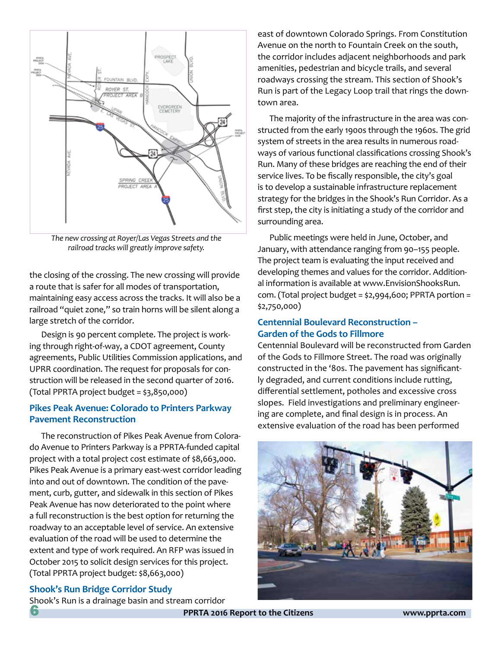

*The new crossing at Royer/Las Vegas Streets and the railroad tracks will greatly improve safety.*

the closing of the crossing. The new crossing will provide a route that is safer for all modes of transportation, maintaining easy access across the tracks. It will also be a railroad "quiet zone," so train horns will be silent along a large stretch of the corridor.

Design is 90 percent complete. The project is working through right-of-way, a CDOT agreement, County agreements, Public Utilities Commission applications, and UPRR coordination. The request for proposals for construction will be released in the second quarter of 2016. (Total PPRTA project budget = \$3,850,000)

### **Pikes Peak Avenue: Colorado to Printers Parkway Pavement Reconstruction**

The reconstruction of Pikes Peak Avenue from Colorado Avenue to Printers Parkway is a PPRTA-funded capital project with a total project cost estimate of \$8,663,000. Pikes Peak Avenue is a primary east-west corridor leading into and out of downtown. The condition of the pavement, curb, gutter, and sidewalk in this section of Pikes Peak Avenue has now deteriorated to the point where a full reconstruction is the best option for returning the roadway to an acceptable level of service. An extensive evaluation of the road will be used to determine the extent and type of work required. An RFP was issued in October 2015 to solicit design services for this project. (Total PPRTA project budget: \$8,663,000)

### **Shook's Run Bridge Corridor Study**

Shook's Run is a drainage basin and stream corridor

east of downtown Colorado Springs. From Constitution Avenue on the north to Fountain Creek on the south, the corridor includes adjacent neighborhoods and park amenities, pedestrian and bicycle trails, and several roadways crossing the stream. This section of Shook's Run is part of the Legacy Loop trail that rings the downtown area.

The majority of the infrastructure in the area was constructed from the early 1900s through the 1960s. The grid system of streets in the area results in numerous roadways of various functional classifications crossing Shook's Run. Many of these bridges are reaching the end of their service lives. To be fiscally responsible, the city's goal is to develop a sustainable infrastructure replacement strategy for the bridges in the Shook's Run Corridor. As a first step, the city is initiating a study of the corridor and surrounding area.

Public meetings were held in June, October, and January, with attendance ranging from 90–155 people. The project team is evaluating the input received and developing themes and values for the corridor. Additional information is available at www.EnvisionShooksRun. com. (Total project budget = \$2,994,600; PPRTA portion = \$2,750,000)

### **Centennial Boulevard Reconstruction – Garden of the Gods to Fillmore**

Centennial Boulevard will be reconstructed from Garden of the Gods to Fillmore Street. The road was originally constructed in the '80s. The pavement has significantly degraded, and current conditions include rutting, differential settlement, potholes and excessive cross slopes. Field investigations and preliminary engineering are complete, and final design is in process. An extensive evaluation of the road has been performed

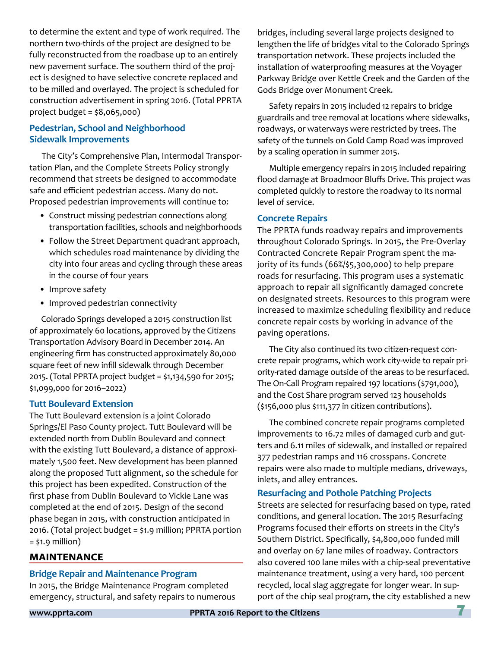to determine the extent and type of work required. The northern two-thirds of the project are designed to be fully reconstructed from the roadbase up to an entirely new pavement surface. The southern third of the project is designed to have selective concrete replaced and to be milled and overlayed. The project is scheduled for construction advertisement in spring 2016. (Total PPRTA project budget = \$8,065,000)

### **Pedestrian, School and Neighborhood Sidewalk Improvements**

The City's Comprehensive Plan, Intermodal Transportation Plan, and the Complete Streets Policy strongly recommend that streets be designed to accommodate safe and efficient pedestrian access. Many do not. Proposed pedestrian improvements will continue to:

- Construct missing pedestrian connections along transportation facilities, schools and neighborhoods
- Follow the Street Department quadrant approach, which schedules road maintenance by dividing the city into four areas and cycling through these areas in the course of four years
- Improve safety
- Improved pedestrian connectivity

Colorado Springs developed a 2015 construction list of approximately 60 locations, approved by the Citizens Transportation Advisory Board in December 2014. An engineering firm has constructed approximately 80,000 square feet of new infill sidewalk through December 2015. (Total PPRTA project budget = \$1,134,590 for 2015; \$1,099,000 for 2016–2022)

### **Tutt Boulevard Extension**

The Tutt Boulevard extension is a joint Colorado Springs/El Paso County project. Tutt Boulevard will be extended north from Dublin Boulevard and connect with the existing Tutt Boulevard, a distance of approximately 1,500 feet. New development has been planned along the proposed Tutt alignment, so the schedule for this project has been expedited. Construction of the first phase from Dublin Boulevard to Vickie Lane was completed at the end of 2015. Design of the second phase began in 2015, with construction anticipated in 2016. (Total project budget = \$1.9 million; PPRTA portion  $=$  \$1.9 million)

### **MAINTENANCE**

#### **Bridge Repair and Maintenance Program**

In 2015, the Bridge Maintenance Program completed emergency, structural, and safety repairs to numerous bridges, including several large projects designed to lengthen the life of bridges vital to the Colorado Springs transportation network. These projects included the installation of waterproofing measures at the Voyager Parkway Bridge over Kettle Creek and the Garden of the Gods Bridge over Monument Creek.

Safety repairs in 2015 included 12 repairs to bridge guardrails and tree removal at locations where sidewalks, roadways, or waterways were restricted by trees. The safety of the tunnels on Gold Camp Road was improved by a scaling operation in summer 2015.

Multiple emergency repairs in 2015 included repairing flood damage at Broadmoor Bluffs Drive. This project was completed quickly to restore the roadway to its normal level of service.

### **Concrete Repairs**

The PPRTA funds roadway repairs and improvements throughout Colorado Springs. In 2015, the Pre-Overlay Contracted Concrete Repair Program spent the majority of its funds (66%/\$5,300,000) to help prepare roads for resurfacing. This program uses a systematic approach to repair all significantly damaged concrete on designated streets. Resources to this program were increased to maximize scheduling flexibility and reduce concrete repair costs by working in advance of the paving operations.

The City also continued its two citizen-request concrete repair programs, which work city-wide to repair priority-rated damage outside of the areas to be resurfaced. The On-Call Program repaired 197 locations (\$791,000), and the Cost Share program served 123 households (\$156,000 plus \$111,377 in citizen contributions).

The combined concrete repair programs completed improvements to 16.72 miles of damaged curb and gutters and 6.11 miles of sidewalk, and installed or repaired 377 pedestrian ramps and 116 crosspans. Concrete repairs were also made to multiple medians, driveways, inlets, and alley entrances.

### **Resurfacing and Pothole Patching Projects**

Streets are selected for resurfacing based on type, rated conditions, and general location. The 2015 Resurfacing Programs focused their efforts on streets in the City's Southern District. Specifically, \$4,800,000 funded mill and overlay on 67 lane miles of roadway. Contractors also covered 100 lane miles with a chip-seal preventative maintenance treatment, using a very hard, 100 percent recycled, local slag aggregate for longer wear. In support of the chip seal program, the city established a new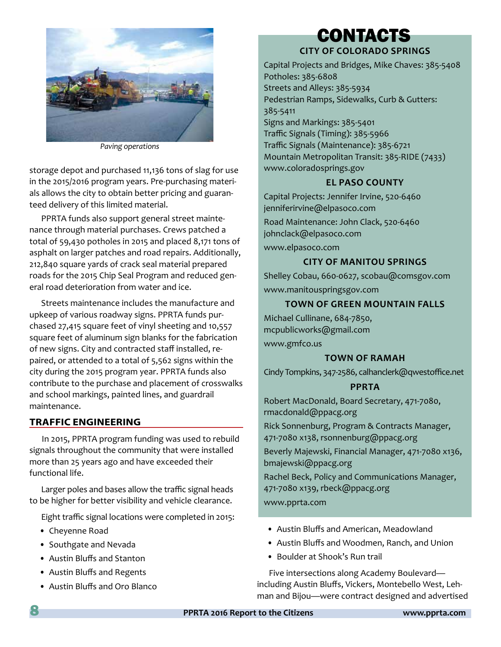

*Paving operations*

storage depot and purchased 11,136 tons of slag for use in the 2015/2016 program years. Pre-purchasing materials allows the city to obtain better pricing and guaranteed delivery of this limited material.

PPRTA funds also support general street maintenance through material purchases. Crews patched a total of 59,430 potholes in 2015 and placed 8,171 tons of asphalt on larger patches and road repairs. Additionally, 212,840 square yards of crack seal material prepared roads for the 2015 Chip Seal Program and reduced general road deterioration from water and ice.

Streets maintenance includes the manufacture and upkeep of various roadway signs. PPRTA funds purchased 27,415 square feet of vinyl sheeting and 10,557 square feet of aluminum sign blanks for the fabrication of new signs. City and contracted staff installed, repaired, or attended to a total of 5,562 signs within the city during the 2015 program year. PPRTA funds also contribute to the purchase and placement of crosswalks and school markings, painted lines, and guardrail maintenance.

#### **TRAFFIC ENGINEERING**

In 2015, PPRTA program funding was used to rebuild signals throughout the community that were installed more than 25 years ago and have exceeded their functional life.

Larger poles and bases allow the traffic signal heads to be higher for better visibility and vehicle clearance.

Eight traffic signal locations were completed in 2015:

- Cheyenne Road
- Southgate and Nevada
- Austin Bluffs and Stanton
- Austin Bluffs and Regents
- Austin Bluffs and Oro Blanco

### **CITY OF COLORADO SPRINGS** CONTACTS

Capital Projects and Bridges, Mike Chaves: 385-5408 Potholes: 385-6808 Streets and Alleys: 385-5934 Pedestrian Ramps, Sidewalks, Curb & Gutters:

385-5411 Signs and Markings: 385-5401 Traffic Signals (Timing): 385-5966 Traffic Signals (Maintenance): 385-6721 Mountain Metropolitan Transit: 385-RIDE (7433) www.coloradosprings.gov

### **EL PASO COUNTY**

Capital Projects: Jennifer Irvine, 520-6460 jenniferirvine@elpasoco.com

Road Maintenance: John Clack, 520-6460 johnclack@elpasoco.com www.elpasoco.com

### **CITY OF MANITOU SPRINGS**

Shelley Cobau, 660-0627, scobau@comsgov.com www.manitouspringsgov.com

### **TOWN OF GREEN MOUNTAIN FALLS**

Michael Cullinane, 684-7850, mcpublicworks@gmail.com www.gmfco.us

#### **TOWN OF RAMAH**

Cindy Tompkins, 347-2586, calhanclerk@qwestoffice.net

### **PPRTA**

Robert MacDonald, Board Secretary, 471-7080, rmacdonald@ppacg.org Rick Sonnenburg, Program & Contracts Manager,

471-7080 x138, rsonnenburg@ppacg.org

Beverly Majewski, Financial Manager, 471-7080 x136, bmajewski@ppacg.org

Rachel Beck, Policy and Communications Manager, 471-7080 x139, rbeck@ppacg.org www.pprta.com

- Austin Bluffs and American, Meadowland
- Austin Bluffs and Woodmen, Ranch, and Union
- Boulder at Shook's Run trail

Five intersections along Academy Boulevard including Austin Bluffs, Vickers, Montebello West, Lehman and Bijou—were contract designed and advertised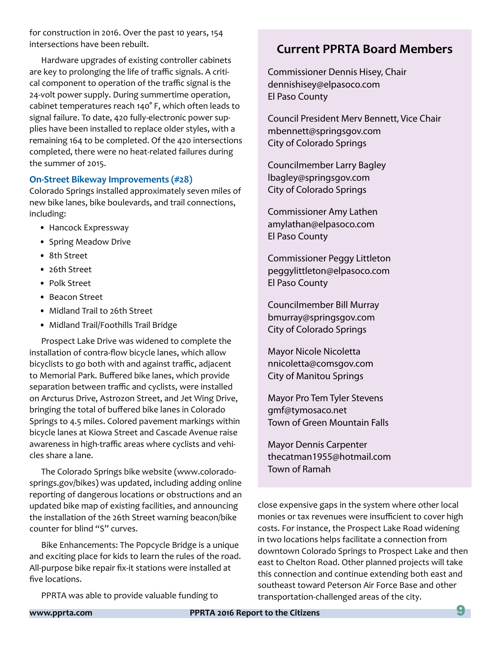for construction in 2016. Over the past 10 years, 154 intersections have been rebuilt.

Hardware upgrades of existing controller cabinets are key to prolonging the life of traffic signals. A critical component to operation of the traffic signal is the 24-volt power supply. During summertime operation, cabinet temperatures reach 140° F, which often leads to signal failure. To date, 420 fully-electronic power supplies have been installed to replace older styles, with a remaining 164 to be completed. Of the 420 intersections completed, there were no heat-related failures during the summer of 2015.

#### **On-Street Bikeway Improvements (#28)**

Colorado Springs installed approximately seven miles of new bike lanes, bike boulevards, and trail connections, including:

- Hancock Expressway
- Spring Meadow Drive
- 8th Street
- 26th Street
- Polk Street
- Beacon Street
- Midland Trail to 26th Street
- Midland Trail/Foothills Trail Bridge

Prospect Lake Drive was widened to complete the installation of contra-flow bicycle lanes, which allow bicyclists to go both with and against traffic, adjacent to Memorial Park. Buffered bike lanes, which provide separation between traffic and cyclists, were installed on Arcturus Drive, Astrozon Street, and Jet Wing Drive, bringing the total of buffered bike lanes in Colorado Springs to 4.5 miles. Colored pavement markings within bicycle lanes at Kiowa Street and Cascade Avenue raise awareness in high-traffic areas where cyclists and vehicles share a lane.

The Colorado Springs bike website (www.coloradosprings.gov/bikes) was updated, including adding online reporting of dangerous locations or obstructions and an updated bike map of existing facilities, and announcing the installation of the 26th Street warning beacon/bike counter for blind "S" curves.

Bike Enhancements: The Popcycle Bridge is a unique and exciting place for kids to learn the rules of the road. All-purpose bike repair fix-it stations were installed at five locations.

PPRTA was able to provide valuable funding to

### **Current PPRTA Board Members**

Commissioner Dennis Hisey, Chair dennishisey@elpasoco.com El Paso County

Council President Merv Bennett, Vice Chair mbennett@springsgov.com City of Colorado Springs

Councilmember Larry Bagley lbagley@springsgov.com City of Colorado Springs

Commissioner Amy Lathen amylathan@elpasoco.com El Paso County

Commissioner Peggy Littleton peggylittleton@elpasoco.com El Paso County

Councilmember Bill Murray bmurray@springsgov.com City of Colorado Springs

Mayor Nicole Nicoletta nnicoletta@comsgov.com City of Manitou Springs

Mayor Pro Tem Tyler Stevens gmf@tymosaco.net Town of Green Mountain Falls

Mayor Dennis Carpenter thecatman1955@hotmail.com Town of Ramah

close expensive gaps in the system where other local monies or tax revenues were insufficient to cover high costs. For instance, the Prospect Lake Road widening in two locations helps facilitate a connection from downtown Colorado Springs to Prospect Lake and then east to Chelton Road. Other planned projects will take this connection and continue extending both east and southeast toward Peterson Air Force Base and other transportation-challenged areas of the city.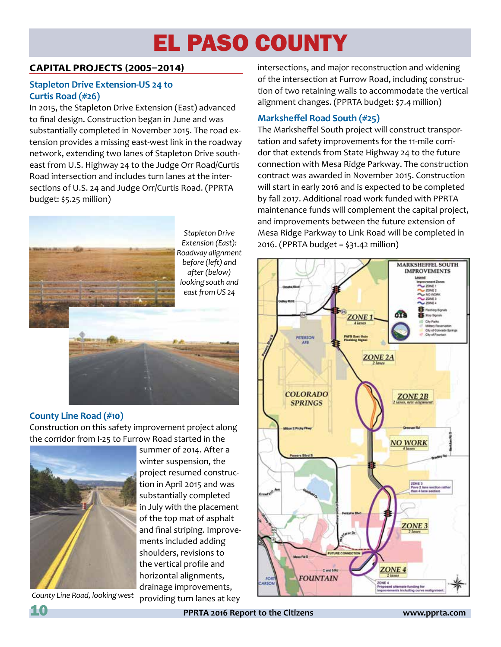# EL PASO COUNTY

### **CAPITAL PROJECTS (2005–2014)**

### **Stapleton Drive Extension-US 24 to Curtis Road (#26)**

In 2015, the Stapleton Drive Extension (East) advanced to final design. Construction began in June and was substantially completed in November 2015. The road extension provides a missing east-west link in the roadway network, extending two lanes of Stapleton Drive southeast from U.S. Highway 24 to the Judge Orr Road/Curtis Road intersection and includes turn lanes at the intersections of U.S. 24 and Judge Orr/Curtis Road. (PPRTA budget: \$5.25 million)



*Stapleton Drive Extension (East): Roadway alignment before (left) and after (below) looking south and east from US 24*



### **County Line Road (#10)**

Construction on this safety improvement project along the corridor from I-25 to Furrow Road started in the



*County Line Road, looking west*

summer of 2014. After a winter suspension, the project resumed construction in April 2015 and was substantially completed in July with the placement of the top mat of asphalt and final striping. Improvements included adding shoulders, revisions to the vertical profile and horizontal alignments, drainage improvements, providing turn lanes at key

intersections, and major reconstruction and widening of the intersection at Furrow Road, including construction of two retaining walls to accommodate the vertical alignment changes. (PPRTA budget: \$7.4 million)

### **Marksheffel Road South (#25)**

The Marksheffel South project will construct transportation and safety improvements for the 11-mile corridor that extends from State Highway 24 to the future connection with Mesa Ridge Parkway. The construction contract was awarded in November 2015. Construction will start in early 2016 and is expected to be completed by fall 2017. Additional road work funded with PPRTA maintenance funds will complement the capital project, and improvements between the future extension of Mesa Ridge Parkway to Link Road will be completed in 2016. (PPRTA budget = \$31.42 million)

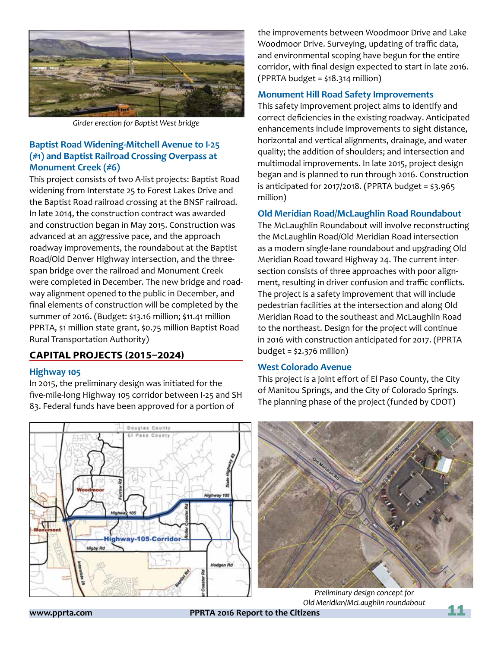

*Girder erection for Baptist West bridge*

### **Baptist Road Widening-Mitchell Avenue to I-25 (#1) and Baptist Railroad Crossing Overpass at Monument Creek (#6)**

This project consists of two A-list projects: Baptist Road widening from Interstate 25 to Forest Lakes Drive and the Baptist Road railroad crossing at the BNSF railroad. In late 2014, the construction contract was awarded and construction began in May 2015. Construction was advanced at an aggressive pace, and the approach roadway improvements, the roundabout at the Baptist Road/Old Denver Highway intersection, and the threespan bridge over the railroad and Monument Creek were completed in December. The new bridge and roadway alignment opened to the public in December, and final elements of construction will be completed by the summer of 2016. (Budget: \$13.16 million; \$11.41 million PPRTA, \$1 million state grant, \$0.75 million Baptist Road Rural Transportation Authority)

### **CAPITAL PROJECTS (2015–2024)**

#### **Highway 105**

In 2015, the preliminary design was initiated for the five-mile-long Highway 105 corridor between I-25 and SH 83. Federal funds have been approved for a portion of

the improvements between Woodmoor Drive and Lake Woodmoor Drive. Surveying, updating of traffic data, and environmental scoping have begun for the entire corridor, with final design expected to start in late 2016. (PPRTA budget = \$18.314 million)

### **Monument Hill Road Safety Improvements**

This safety improvement project aims to identify and correct deficiencies in the existing roadway. Anticipated enhancements include improvements to sight distance, horizontal and vertical alignments, drainage, and water quality; the addition of shoulders; and intersection and multimodal improvements. In late 2015, project design began and is planned to run through 2016. Construction is anticipated for 2017/2018. (PPRTA budget = \$3.965 million)

### **Old Meridian Road/McLaughlin Road Roundabout**

The McLaughlin Roundabout will involve reconstructing the McLaughlin Road/Old Meridian Road intersection as a modern single-lane roundabout and upgrading Old Meridian Road toward Highway 24. The current intersection consists of three approaches with poor alignment, resulting in driver confusion and traffic conflicts. The project is a safety improvement that will include pedestrian facilities at the intersection and along Old Meridian Road to the southeast and McLaughlin Road to the northeast. Design for the project will continue in 2016 with construction anticipated for 2017. (PPRTA budget = \$2.376 million)

#### **West Colorado Avenue**

This project is a joint effort of El Paso County, the City of Manitou Springs, and the City of Colorado Springs. The planning phase of the project (funded by CDOT)





*Preliminary design concept for Old Meridian/McLaughlin roundabout*

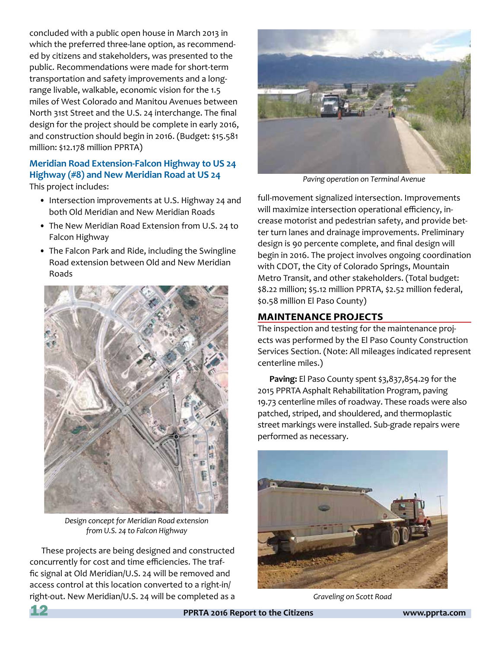concluded with a public open house in March 2013 in which the preferred three-lane option, as recommended by citizens and stakeholders, was presented to the public. Recommendations were made for short-term transportation and safety improvements and a longrange livable, walkable, economic vision for the 1.5 miles of West Colorado and Manitou Avenues between North 31st Street and the U.S. 24 interchange. The final design for the project should be complete in early 2016, and construction should begin in 2016. (Budget: \$15.581 million: \$12.178 million PPRTA)

### **Meridian Road Extension-Falcon Highway to US 24 Highway (#8) and New Meridian Road at US 24** This project includes:

- Intersection improvements at U.S. Highway 24 and both Old Meridian and New Meridian Roads
- The New Meridian Road Extension from U.S. 24 to Falcon Highway
- The Falcon Park and Ride, including the Swingline Road extension between Old and New Meridian Roads



*Design concept for Meridian Road extension from U.S. 24 to Falcon Highway*

These projects are being designed and constructed concurrently for cost and time efficiencies. The traffic signal at Old Meridian/U.S. 24 will be removed and access control at this location converted to a right-in/ right-out. New Meridian/U.S. 24 will be completed as a



*Paving operation on Terminal Avenue*

full-movement signalized intersection. Improvements will maximize intersection operational efficiency, increase motorist and pedestrian safety, and provide better turn lanes and drainage improvements. Preliminary design is 90 percente complete, and final design will begin in 2016. The project involves ongoing coordination with CDOT, the City of Colorado Springs, Mountain Metro Transit, and other stakeholders. (Total budget: \$8.22 million; \$5.12 million PPRTA, \$2.52 million federal, \$0.58 million El Paso County)

### **MAINTENANCE PROJECTS**

The inspection and testing for the maintenance projects was performed by the El Paso County Construction Services Section. (Note: All mileages indicated represent centerline miles.)

**Paving:** El Paso County spent \$3,837,854.29 for the 2015 PPRTA Asphalt Rehabilitation Program, paving 19.73 centerline miles of roadway. These roads were also patched, striped, and shouldered, and thermoplastic street markings were installed. Sub-grade repairs were performed as necessary.



*Graveling on Scott Road*

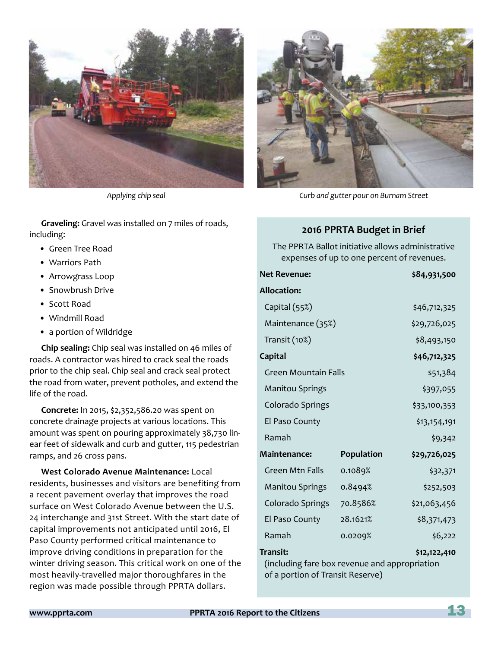

**Graveling:** Gravel was installed on 7 miles of roads, including:

- Green Tree Road
- Warriors Path
- Arrowgrass Loop
- Snowbrush Drive
- Scott Road
- Windmill Road
- a portion of Wildridge

**Chip sealing:** Chip seal was installed on 46 miles of roads. A contractor was hired to crack seal the roads prior to the chip seal. Chip seal and crack seal protect the road from water, prevent potholes, and extend the life of the road.

**Concrete:** In 2015, \$2,352,586.20 was spent on concrete drainage projects at various locations. This amount was spent on pouring approximately 38,730 linear feet of sidewalk and curb and gutter, 115 pedestrian ramps, and 26 cross pans.

**West Colorado Avenue Maintenance:** Local residents, businesses and visitors are benefiting from a recent pavement overlay that improves the road surface on West Colorado Avenue between the U.S. 24 interchange and 31st Street. With the start date of capital improvements not anticipated until 2016, El Paso County performed critical maintenance to improve driving conditions in preparation for the winter driving season. This critical work on one of the most heavily-travelled major thoroughfares in the region was made possible through PPRTA dollars.



*Applying chip seal Curb and gutter pour on Burnam Street*

### **2016 PPRTA Budget in Brief**

The PPRTA Ballot initiative allows administrative expenses of up to one percent of revenues.

| <b>Net Revenue:</b>                                                                                                  |            | \$84,931,500 |
|----------------------------------------------------------------------------------------------------------------------|------------|--------------|
| <b>Allocation:</b>                                                                                                   |            |              |
| Capital (55%)                                                                                                        |            | \$46,712,325 |
| Maintenance (35%)                                                                                                    |            | \$29,726,025 |
| Transit (10%)                                                                                                        |            | \$8,493,150  |
| <b>Capital</b>                                                                                                       |            | \$46,712,325 |
| <b>Green Mountain Falls</b>                                                                                          |            | \$51,384     |
| <b>Manitou Springs</b>                                                                                               |            | \$397,055    |
| Colorado Springs                                                                                                     |            | \$33,100,353 |
| El Paso County                                                                                                       |            | \$13,154,191 |
| Ramah                                                                                                                |            | \$9,342      |
| <b>Maintenance:</b>                                                                                                  | Population | \$29,726,025 |
| Green Mtn Falls                                                                                                      | 0.1089%    | \$32,371     |
| <b>Manitou Springs</b>                                                                                               | 0.8494%    | \$252,503    |
| Colorado Springs                                                                                                     | 70.8586%   | \$21,063,456 |
| El Paso County                                                                                                       | 28.1621%   | \$8,371,473  |
| Ramah                                                                                                                | 0.0209%    | \$6,222      |
| <b>Transit:</b><br>\$12,122,410<br>(including fare box revenue and appropriation<br>of a portion of Transit Reserve) |            |              |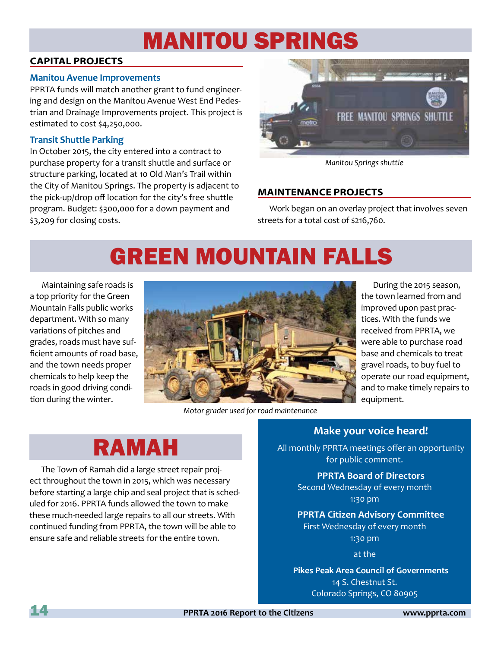### MANITOU SPRINGS

### **CAPITAL PROJECTS**

### **Manitou Avenue Improvements**

PPRTA funds will match another grant to fund engineering and design on the Manitou Avenue West End Pedestrian and Drainage Improvements project. This project is estimated to cost \$4,250,000.

### **Transit Shuttle Parking**

In October 2015, the city entered into a contract to purchase property for a transit shuttle and surface or structure parking, located at 10 Old Man's Trail within the City of Manitou Springs. The property is adjacent to the pick-up/drop off location for the city's free shuttle program. Budget: \$300,000 for a down payment and \$3,209 for closing costs.



*Manitou Springs shuttle*

### **MAINTENANCE PROJECTS**

Work began on an overlay project that involves seven streets for a total cost of \$216,760.

# GREEN MOUNTAIN FALLS

Maintaining safe roads is a top priority for the Green Mountain Falls public works department. With so many variations of pitches and grades, roads must have sufficient amounts of road base, and the town needs proper chemicals to help keep the roads in good driving condition during the winter.



*Motor grader used for road maintenance*

During the 2015 season, the town learned from and improved upon past practices. With the funds we received from PPRTA, we were able to purchase road base and chemicals to treat gravel roads, to buy fuel to operate our road equipment, and to make timely repairs to equipment.

### RAMAH

The Town of Ramah did a large street repair project throughout the town in 2015, which was necessary before starting a large chip and seal project that is scheduled for 2016. PPRTA funds allowed the town to make these much-needed large repairs to all our streets. With continued funding from PPRTA, the town will be able to ensure safe and reliable streets for the entire town.

### **Make your voice heard!**

All monthly PPRTA meetings offer an opportunity for public comment.

### **PPRTA Board of Directors**

Second Wednesday of every month 1:30 pm

### **PPRTA Citizen Advisory Committee** First Wednesday of every month

1:30 pm at the

**Pikes Peak Area Council of Governments** 14 S. Chestnut St. Colorado Springs, CO 80905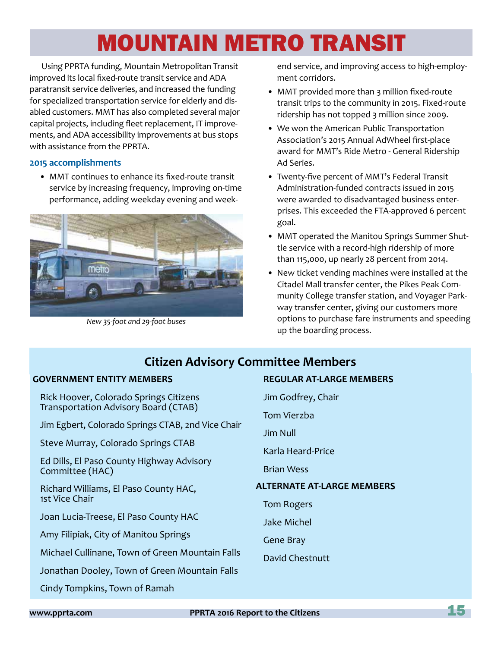# MOUNTAIN METRO TRANSIT

Using PPRTA funding, Mountain Metropolitan Transit improved its local fixed-route transit service and ADA paratransit service deliveries, and increased the funding for specialized transportation service for elderly and disabled customers. MMT has also completed several major capital projects, including fleet replacement, IT improvements, and ADA accessibility improvements at bus stops with assistance from the PPRTA.

### **2015 accomplishments**

• MMT continues to enhance its fixed-route transit service by increasing frequency, improving on-time performance, adding weekday evening and week-



*New 35-foot and 29-foot buses*

end service, and improving access to high-employment corridors.

- MMT provided more than 3 million fixed-route transit trips to the community in 2015. Fixed-route ridership has not topped 3 million since 2009.
- We won the American Public Transportation Association's 2015 Annual AdWheel first-place award for MMT's Ride Metro - General Ridership Ad Series.
- Twenty-five percent of MMT's Federal Transit Administration-funded contracts issued in 2015 were awarded to disadvantaged business enterprises. This exceeded the FTA-approved 6 percent goal.
- MMT operated the Manitou Springs Summer Shuttle service with a record-high ridership of more than 115,000, up nearly 28 percent from 2014.
- New ticket vending machines were installed at the Citadel Mall transfer center, the Pikes Peak Community College transfer station, and Voyager Parkway transfer center, giving our customers more options to purchase fare instruments and speeding up the boarding process.

### **Citizen Advisory Committee Members**

### **GOVERNMENT ENTITY MEMBERS**

Rick Hoover, Colorado Springs Citizens Transportation Advisory Board (CTAB)

Jim Egbert, Colorado Springs CTAB, 2nd Vice Chair

Steve Murray, Colorado Springs CTAB

Ed Dills, El Paso County Highway Advisory Committee (HAC)

Richard Williams, El Paso County HAC, 1st Vice Chair

Joan Lucia-Treese, El Paso County HAC

Amy Filipiak, City of Manitou Springs

Michael Cullinane, Town of Green Mountain Falls

Jonathan Dooley, Town of Green Mountain Falls

Cindy Tompkins, Town of Ramah

**REGULAR AT-LARGE MEMBERS** Jim Godfrey, Chair Tom Vierzba Jim Null Karla Heard-Price Brian Wess **ALTERNATE AT-LARGE MEMBERS** Tom Rogers Jake Michel Gene Bray David Chestnutt